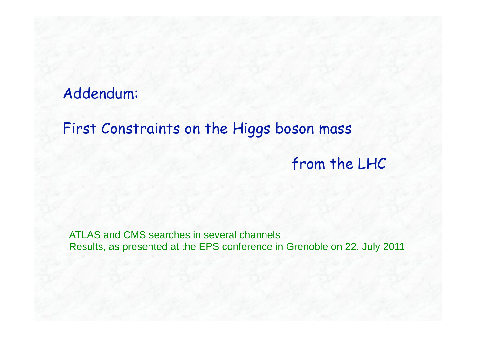# Addendum:

# First Constraints on the Higgs boson mass

from the LHC

ATLAS and CMS searches in several channels Results, as presented at the EPS conference in Grenoble on 22. July 2011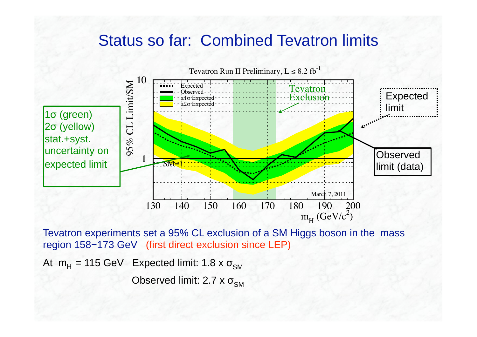## Status so far: Combined Tevatron limits



Tevatron experiments set a 95% CL exclusion of a SM Higgs boson in the mass region 158-173 GeV (first direct exclusion since LEP)

At m<sub>H</sub> = 115 GeV Expected limit: 1.8 x σ<sub>sм</sub>

Observed limit: 2.7 x σ<sub>sм</sub>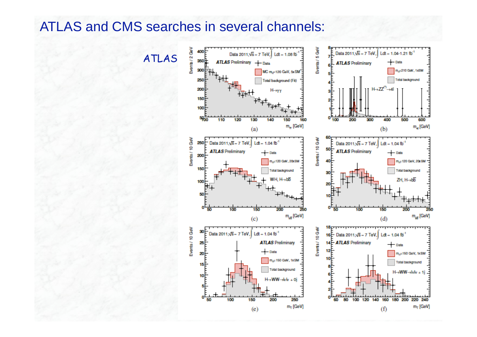## ATLAS and CMS searches in several channels:

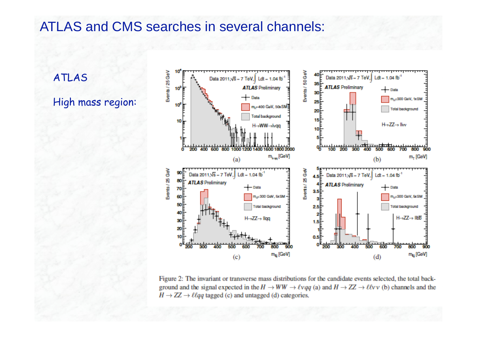### ATLAS and CMS searches in several channels:

ATLAS

#### High mass region:



Figure 2: The invariant or transverse mass distributions for the candidate events selected, the total background and the signal expected in the  $H \to WW \to \ell \nu q q$  (a) and  $H \to ZZ \to \ell \ell \nu \nu$  (b) channels and the  $H \rightarrow ZZ \rightarrow \ell \ell qq$  tagged (c) and untagged (d) categories.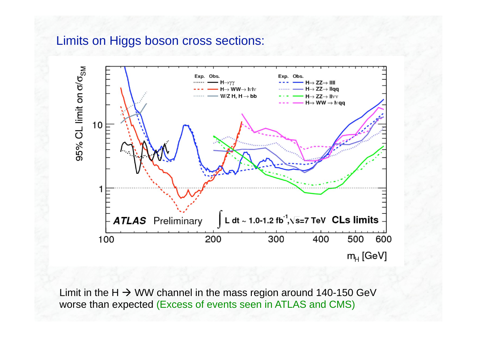#### Limits on Higgs boson cross sections:



Limit in the H  $\rightarrow$  WW channel in the mass region around 140-150 GeV worse than expected (Excess of events seen in ATLAS and CMS)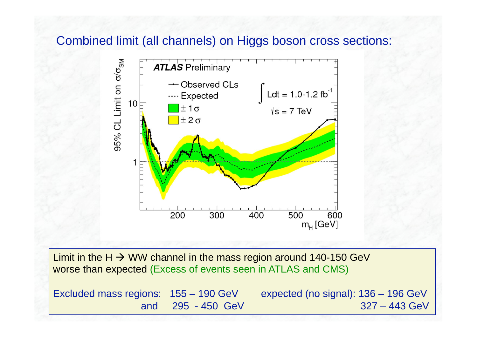#### Combined limit (all channels) on Higgs boson cross sections:



Limit in the H  $\rightarrow$  WW channel in the mass region around 140-150 GeV worse than expected (Excess of events seen in ATLAS and CMS)

Excluded mass regions: 155 – 190 GeV expected (no signal): 136 – 196 GeV

and 295 - 450 GeV 327 – 443 GeV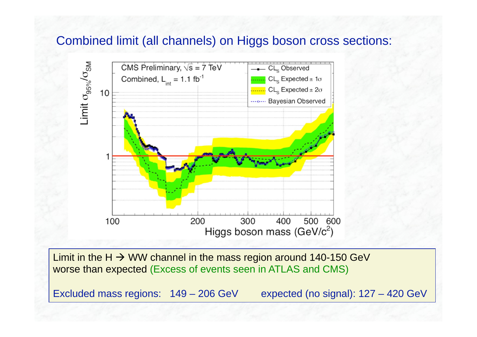#### Combined limit (all channels) on Higgs boson cross sections:



Limit in the H  $\rightarrow$  WW channel in the mass region around 140-150 GeV worse than expected (Excess of events seen in ATLAS and CMS)

Excluded mass regions:  $149 - 206$  GeV expected (no signal):  $127 - 420$  GeV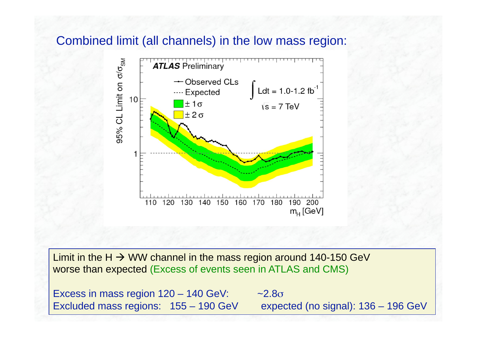#### Combined limit (all channels) in the low mass region:



Limit in the H  $\rightarrow$  WW channel in the mass region around 140-150 GeV worse than expected (Excess of events seen in ATLAS and CMS)

Excess in mass region  $120 - 140$  GeV:  $~2.8\sigma$ Excluded mass regions: 155 – 190 GeV expected (no signal): 136 – 196 GeV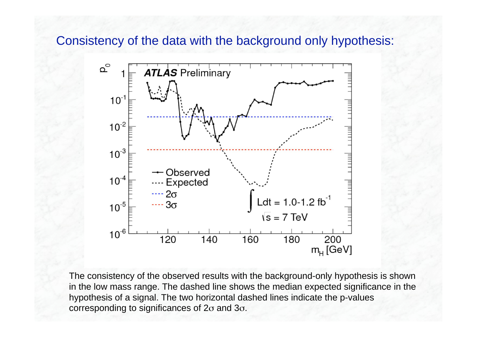Consistency of the data with the background only hypothesis:



The consistency of the observed results with the background-only hypothesis is shown in the low mass range. The dashed line shows the median expected significance in the hypothesis of a signal. The two horizontal dashed lines indicate the p-values corresponding to significances of 2 $\sigma$  and 3 $\sigma$ .